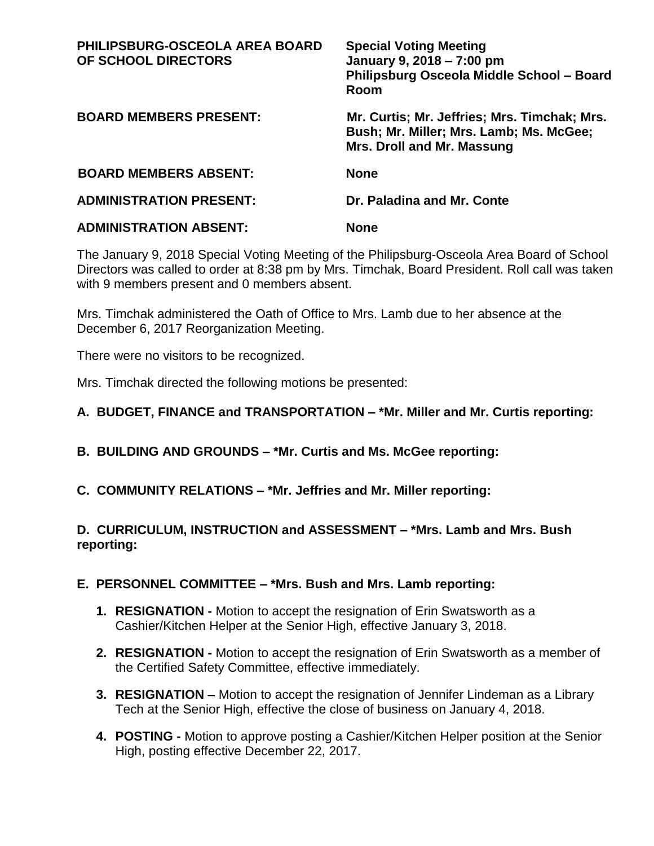| <b>PHILIPSBURG-OSCEOLA AREA BOARD</b><br>OF SCHOOL DIRECTORS | <b>Special Voting Meeting</b><br>January 9, 2018 - 7:00 pm<br>Philipsburg Osceola Middle School - Board<br>Room       |
|--------------------------------------------------------------|-----------------------------------------------------------------------------------------------------------------------|
| <b>BOARD MEMBERS PRESENT:</b>                                | Mr. Curtis; Mr. Jeffries; Mrs. Timchak; Mrs.<br>Bush; Mr. Miller; Mrs. Lamb; Ms. McGee;<br>Mrs. Droll and Mr. Massung |
| <b>BOARD MEMBERS ABSENT:</b>                                 | <b>None</b>                                                                                                           |
| <b>ADMINISTRATION PRESENT:</b>                               | Dr. Paladina and Mr. Conte                                                                                            |
| <b>ADMINISTRATION ABSENT:</b>                                | <b>None</b>                                                                                                           |

The January 9, 2018 Special Voting Meeting of the Philipsburg-Osceola Area Board of School Directors was called to order at 8:38 pm by Mrs. Timchak, Board President. Roll call was taken with 9 members present and 0 members absent.

Mrs. Timchak administered the Oath of Office to Mrs. Lamb due to her absence at the December 6, 2017 Reorganization Meeting.

There were no visitors to be recognized.

Mrs. Timchak directed the following motions be presented:

## **A. BUDGET, FINANCE and TRANSPORTATION – \*Mr. Miller and Mr. Curtis reporting:**

- **B. BUILDING AND GROUNDS – \*Mr. Curtis and Ms. McGee reporting:**
- **C. COMMUNITY RELATIONS – \*Mr. Jeffries and Mr. Miller reporting:**

## **D. CURRICULUM, INSTRUCTION and ASSESSMENT – \*Mrs. Lamb and Mrs. Bush reporting:**

## **E. PERSONNEL COMMITTEE – \*Mrs. Bush and Mrs. Lamb reporting:**

- **1. RESIGNATION -** Motion to accept the resignation of Erin Swatsworth as a Cashier/Kitchen Helper at the Senior High, effective January 3, 2018.
- **2. RESIGNATION -** Motion to accept the resignation of Erin Swatsworth as a member of the Certified Safety Committee, effective immediately.
- **3. RESIGNATION –** Motion to accept the resignation of Jennifer Lindeman as a Library Tech at the Senior High, effective the close of business on January 4, 2018.
- **4. POSTING -** Motion to approve posting a Cashier/Kitchen Helper position at the Senior High, posting effective December 22, 2017.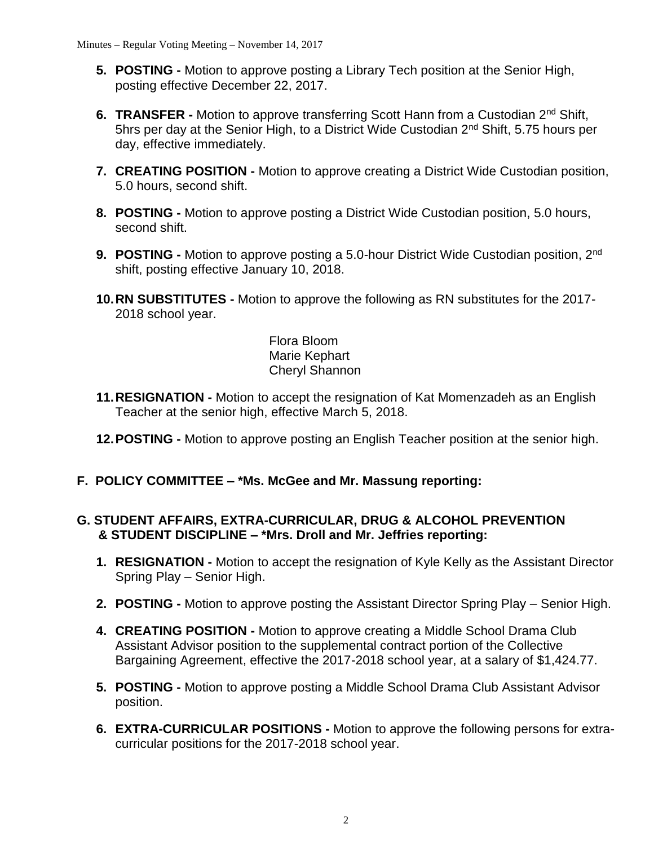- **5. POSTING -** Motion to approve posting a Library Tech position at the Senior High, posting effective December 22, 2017.
- **6. TRANSFER -** Motion to approve transferring Scott Hann from a Custodian 2nd Shift, 5hrs per day at the Senior High, to a District Wide Custodian 2nd Shift, 5.75 hours per day, effective immediately.
- **7. CREATING POSITION -** Motion to approve creating a District Wide Custodian position, 5.0 hours, second shift.
- **8. POSTING -** Motion to approve posting a District Wide Custodian position, 5.0 hours, second shift.
- **9. POSTING -** Motion to approve posting a 5.0-hour District Wide Custodian position, 2nd shift, posting effective January 10, 2018.
- **10.RN SUBSTITUTES -** Motion to approve the following as RN substitutes for the 2017- 2018 school year.

Flora Bloom Marie Kephart Cheryl Shannon

- **11.RESIGNATION -** Motion to accept the resignation of Kat Momenzadeh as an English Teacher at the senior high, effective March 5, 2018.
- **12.POSTING -** Motion to approve posting an English Teacher position at the senior high.
- **F. POLICY COMMITTEE – \*Ms. McGee and Mr. Massung reporting:**

## **G. STUDENT AFFAIRS, EXTRA-CURRICULAR, DRUG & ALCOHOL PREVENTION & STUDENT DISCIPLINE – \*Mrs. Droll and Mr. Jeffries reporting:**

- **1. RESIGNATION -** Motion to accept the resignation of Kyle Kelly as the Assistant Director Spring Play – Senior High.
- **2. POSTING -** Motion to approve posting the Assistant Director Spring Play Senior High.
- **4. CREATING POSITION -** Motion to approve creating a Middle School Drama Club Assistant Advisor position to the supplemental contract portion of the Collective Bargaining Agreement, effective the 2017-2018 school year, at a salary of \$1,424.77.
- **5. POSTING -** Motion to approve posting a Middle School Drama Club Assistant Advisor position.
- **6. EXTRA-CURRICULAR POSITIONS -** Motion to approve the following persons for extracurricular positions for the 2017-2018 school year.